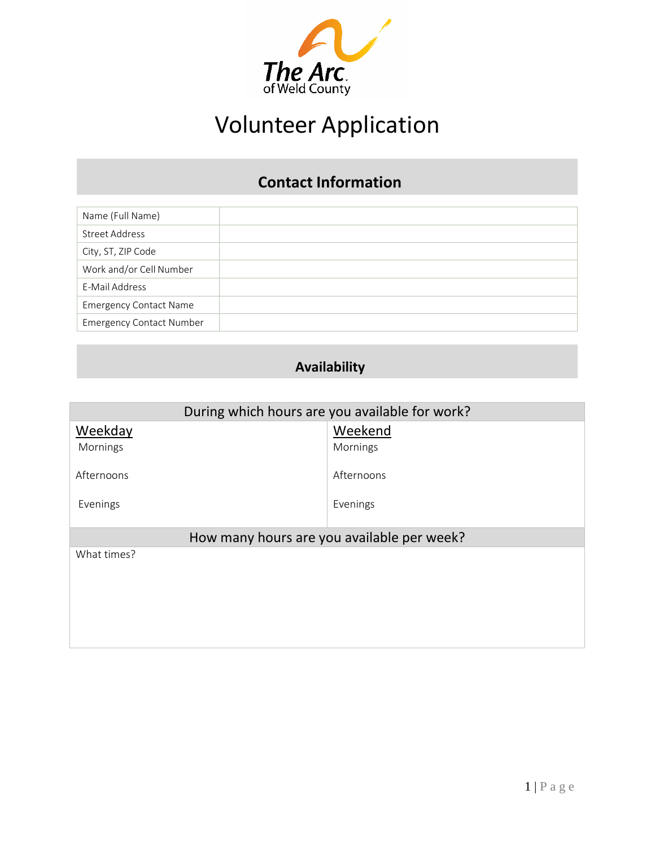

# Volunteer Application

# **Contact Information**

| Name (Full Name)                |  |
|---------------------------------|--|
| <b>Street Address</b>           |  |
| City, ST, ZIP Code              |  |
| Work and/or Cell Number         |  |
| E-Mail Address                  |  |
| <b>Emergency Contact Name</b>   |  |
| <b>Emergency Contact Number</b> |  |

# **Availability**

| During which hours are you available for work? |            |  |  |
|------------------------------------------------|------------|--|--|
| Weekday                                        | Weekend    |  |  |
| Mornings                                       | Mornings   |  |  |
| Afternoons                                     | Afternoons |  |  |
| Evenings                                       | Evenings   |  |  |
| How many hours are you available per week?     |            |  |  |
| What times?                                    |            |  |  |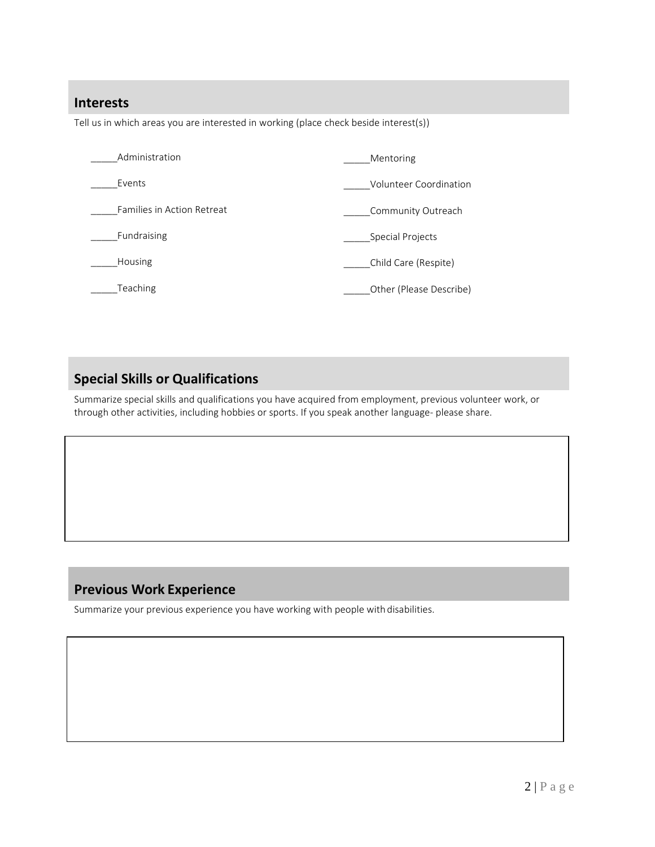#### **Interests**

Tell us in which areas you are interested in working (place check beside interest(s))

| Administration                    | Mentoring               |
|-----------------------------------|-------------------------|
| Events                            | Volunteer Coordination  |
| <b>Families in Action Retreat</b> | Community Outreach      |
| Fundraising                       | Special Projects        |
| <b>Housing</b>                    | Child Care (Respite)    |
| Teaching                          | Other (Please Describe) |

## **Special Skills or Qualifications**

Summarize special skills and qualifications you have acquired from employment, previous volunteer work, or through other activities, including hobbies or sports. If you speak another language- please share.

### **Previous Work Experience**

Summarize your previous experience you have working with people with disabilities.